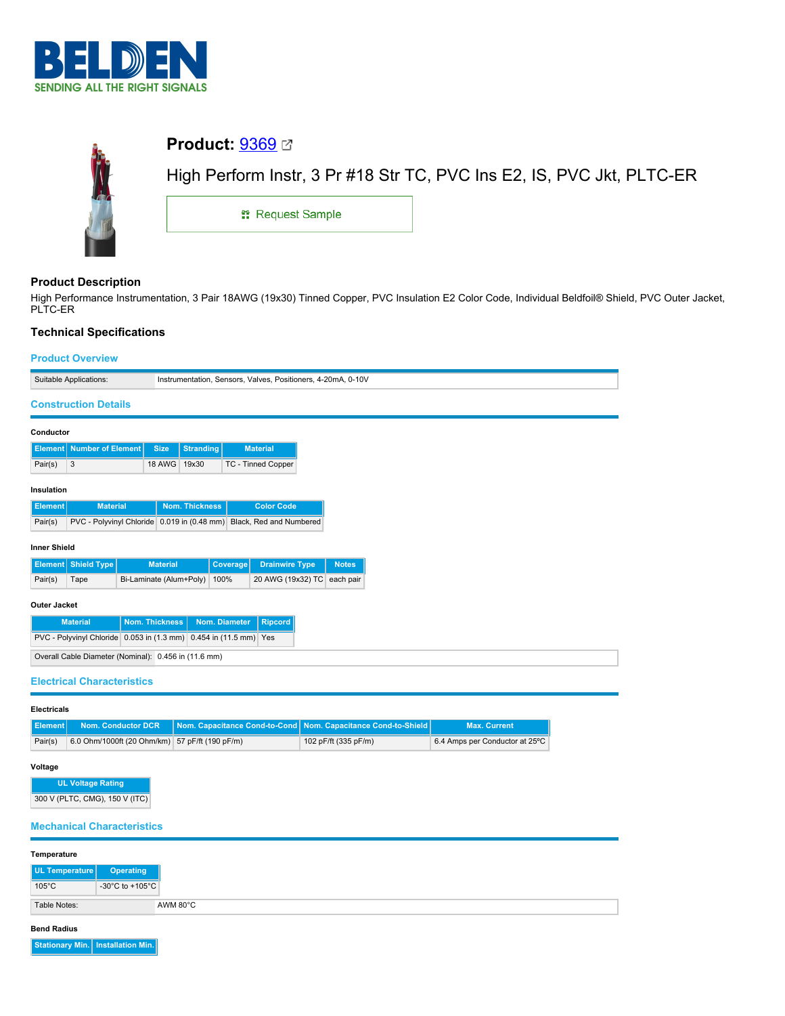



# **Product Description**

High Performance Instrumentation, 3 Pair 18AWG (19x30) Tinned Copper, PVC Insulation E2 Color Code, Individual Beldfoil® Shield, PVC Outer Jacket, PLTC-ER

# **Technical Specifications**

## **Product Overview**

|                                                                      | Suitable Applications:                               |  |                         |                       |          | Instrumentation, Sensors, Valves, Positioners, 4-20mA, 0-10V |              |
|----------------------------------------------------------------------|------------------------------------------------------|--|-------------------------|-----------------------|----------|--------------------------------------------------------------|--------------|
|                                                                      | <b>Construction Details</b>                          |  |                         |                       |          |                                                              |              |
|                                                                      |                                                      |  |                         |                       |          |                                                              |              |
| Conductor                                                            |                                                      |  |                         |                       |          |                                                              |              |
| Element                                                              | <b>Number of Element</b>                             |  | <b>Size</b>             | <b>Stranding</b>      |          | <b>Material</b>                                              |              |
| Pair(s)                                                              | 3                                                    |  | 18 AWG                  | 19x30                 |          | TC - Tinned Copper                                           |              |
| Insulation                                                           |                                                      |  |                         |                       |          |                                                              |              |
| <b>Element</b>                                                       | <b>Material</b>                                      |  |                         | <b>Nom. Thickness</b> |          | <b>Color Code</b>                                            |              |
| Pair(s)                                                              | PVC - Polyvinyl Chloride 0.019 in (0.48 mm)          |  |                         |                       |          | Black, Red and Numbered                                      |              |
|                                                                      |                                                      |  |                         |                       |          |                                                              |              |
| <b>Inner Shield</b>                                                  |                                                      |  |                         |                       |          |                                                              |              |
|                                                                      | <b>Element</b> Shield Type                           |  | <b>Material</b>         |                       | Coverage | <b>Drainwire Type</b>                                        | <b>Notes</b> |
| Pair(s)                                                              | Tape                                                 |  | Bi-Laminate (Alum+Poly) |                       | 100%     | 20 AWG (19x32) TC each pair                                  |              |
| <b>Outer Jacket</b>                                                  |                                                      |  |                         |                       |          |                                                              |              |
| Nom. Thickness<br><b>Material</b><br>Nom. Diameter<br><b>Ripcord</b> |                                                      |  |                         |                       |          |                                                              |              |
| PVC - Polyvinyl Chloride 0.053 in (1.3 mm) 0.454 in (11.5 mm) Yes    |                                                      |  |                         |                       |          |                                                              |              |
|                                                                      | Overall Cable Diameter (Nominal): 0.456 in (11.6 mm) |  |                         |                       |          |                                                              |              |
| <b>Electrical Characteristics</b>                                    |                                                      |  |                         |                       |          |                                                              |              |
|                                                                      |                                                      |  |                         |                       |          |                                                              |              |

### **Electricals**

|         |                                                | <b>Element</b> Nom. Conductor DCR Nom. Capacitance Cond-to-Cond Nom. Capacitance Cond-to-Shield | <b>Max. Current</b>            |
|---------|------------------------------------------------|-------------------------------------------------------------------------------------------------|--------------------------------|
| Pair(s) | 6.0 Ohm/1000ft (20 Ohm/km) 57 pF/ft (190 pF/m) | 102 pF/ft (335 pF/m)                                                                            | 6.4 Amps per Conductor at 25°C |

## **Voltage**

**UL Voltage Rating** 300 V (PLTC, CMG), 150 V (ITC)

## **Mechanical Characteristics**

| Temperature              |                  |
|--------------------------|------------------|
| UL Temperature           | <b>Operating</b> |
| $105^{\circ}$ C          | -30°C to +105°C  |
| AWM 80°C<br>Table Notes: |                  |

#### **Bend Radius**

**Stationary Min. Installation Min.**